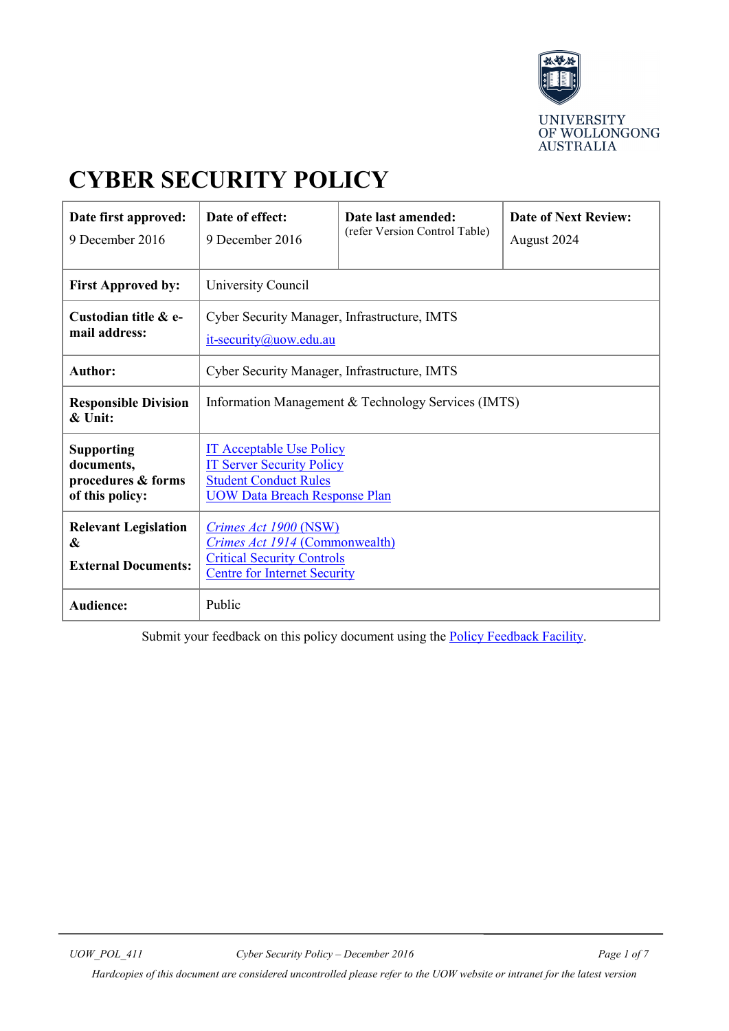

# **CYBER SECURITY POLICY**

| Date first approved:<br>9 December 2016                                  | Date of effect:<br>9 December 2016                                                                                                          | Date last amended:<br>(refer Version Control Table) | <b>Date of Next Review:</b><br>August 2024 |  |
|--------------------------------------------------------------------------|---------------------------------------------------------------------------------------------------------------------------------------------|-----------------------------------------------------|--------------------------------------------|--|
| <b>First Approved by:</b>                                                | University Council                                                                                                                          |                                                     |                                            |  |
| Custodian title & e-<br>mail address:                                    | Cyber Security Manager, Infrastructure, IMTS<br>it-security@uow.edu.au                                                                      |                                                     |                                            |  |
| <b>Author:</b>                                                           | Cyber Security Manager, Infrastructure, IMTS                                                                                                |                                                     |                                            |  |
| <b>Responsible Division</b><br>$\&$ Unit:                                | Information Management & Technology Services (IMTS)                                                                                         |                                                     |                                            |  |
| <b>Supporting</b><br>documents,<br>procedures & forms<br>of this policy: | <b>IT Acceptable Use Policy</b><br><b>IT Server Security Policy</b><br><b>Student Conduct Rules</b><br><b>UOW Data Breach Response Plan</b> |                                                     |                                            |  |
| <b>Relevant Legislation</b><br>&<br><b>External Documents:</b>           | Crimes Act 1900 (NSW)<br><b>Crimes Act 1914 (Commonwealth)</b><br><b>Critical Security Controls</b><br><b>Centre for Internet Security</b>  |                                                     |                                            |  |
| Audience:                                                                | Public                                                                                                                                      |                                                     |                                            |  |

Submit your feedback on this policy document using the **Policy Feedback Facility**.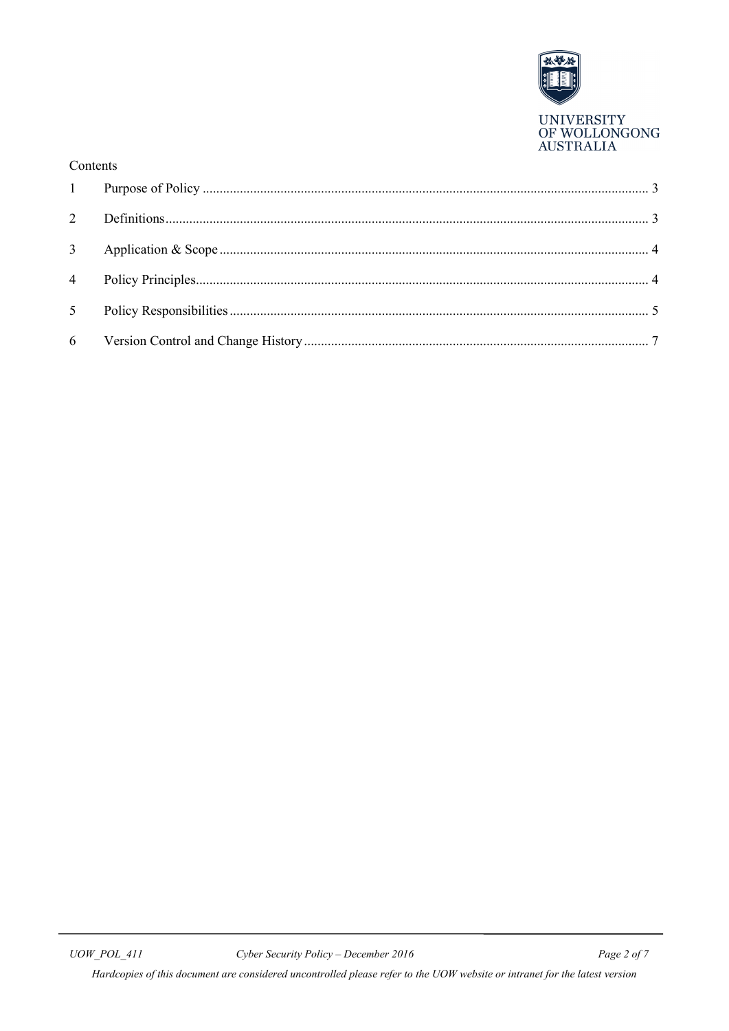

| Contents       |  |
|----------------|--|
|                |  |
|                |  |
|                |  |
|                |  |
| 5 <sup>5</sup> |  |
|                |  |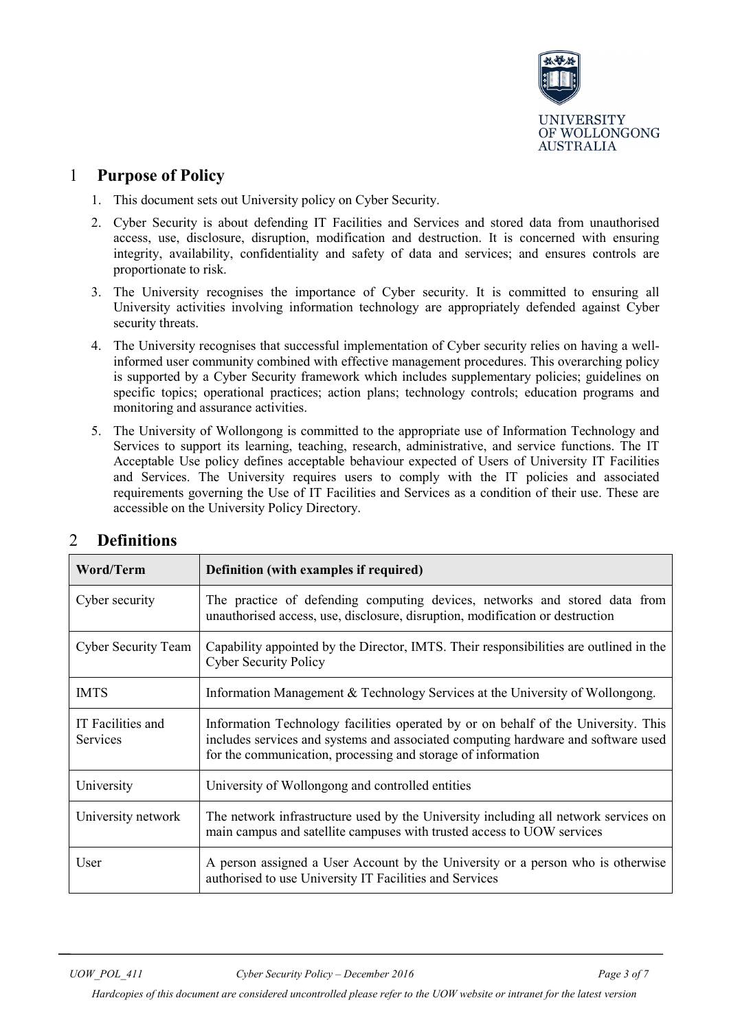

## <span id="page-2-0"></span>1 **Purpose of Policy**

- 1. This document sets out University policy on Cyber Security.
- 2. Cyber Security is about defending IT Facilities and Services and stored data from unauthorised access, use, disclosure, disruption, modification and destruction. It is concerned with ensuring integrity, availability, confidentiality and safety of data and services; and ensures controls are proportionate to risk.
- 3. The University recognises the importance of Cyber security. It is committed to ensuring all University activities involving information technology are appropriately defended against Cyber security threats.
- 4. The University recognises that successful implementation of Cyber security relies on having a wellinformed user community combined with effective management procedures. This overarching policy is supported by a Cyber Security framework which includes supplementary policies; guidelines on specific topics; operational practices; action plans; technology controls; education programs and monitoring and assurance activities.
- 5. The University of Wollongong is committed to the appropriate use of Information Technology and Services to support its learning, teaching, research, administrative, and service functions. The IT Acceptable Use policy defines acceptable behaviour expected of Users of University IT Facilities and Services. The University requires users to comply with the IT policies and associated requirements governing the Use of IT Facilities and Services as a condition of their use. These are accessible on the [University Policy Directory.](http://www.uow.edu.au/about/policy/)

| <b>Word/Term</b>              | Definition (with examples if required)                                                                                                                                                                                                  |  |
|-------------------------------|-----------------------------------------------------------------------------------------------------------------------------------------------------------------------------------------------------------------------------------------|--|
| Cyber security                | The practice of defending computing devices, networks and stored data from<br>unauthorised access, use, disclosure, disruption, modification or destruction                                                                             |  |
| <b>Cyber Security Team</b>    | Capability appointed by the Director, IMTS. Their responsibilities are outlined in the<br><b>Cyber Security Policy</b>                                                                                                                  |  |
| <b>IMTS</b>                   | Information Management & Technology Services at the University of Wollongong.                                                                                                                                                           |  |
| IT Facilities and<br>Services | Information Technology facilities operated by or on behalf of the University. This<br>includes services and systems and associated computing hardware and software used<br>for the communication, processing and storage of information |  |
| University                    | University of Wollongong and controlled entities                                                                                                                                                                                        |  |
| University network            | The network infrastructure used by the University including all network services on<br>main campus and satellite campuses with trusted access to UOW services                                                                           |  |
| User                          | A person assigned a User Account by the University or a person who is otherwise<br>authorised to use University IT Facilities and Services                                                                                              |  |

## <span id="page-2-1"></span>2 **Definitions**

*Hardcopies of this document are considered uncontrolled please refer to the UOW website or intranet for the latest version*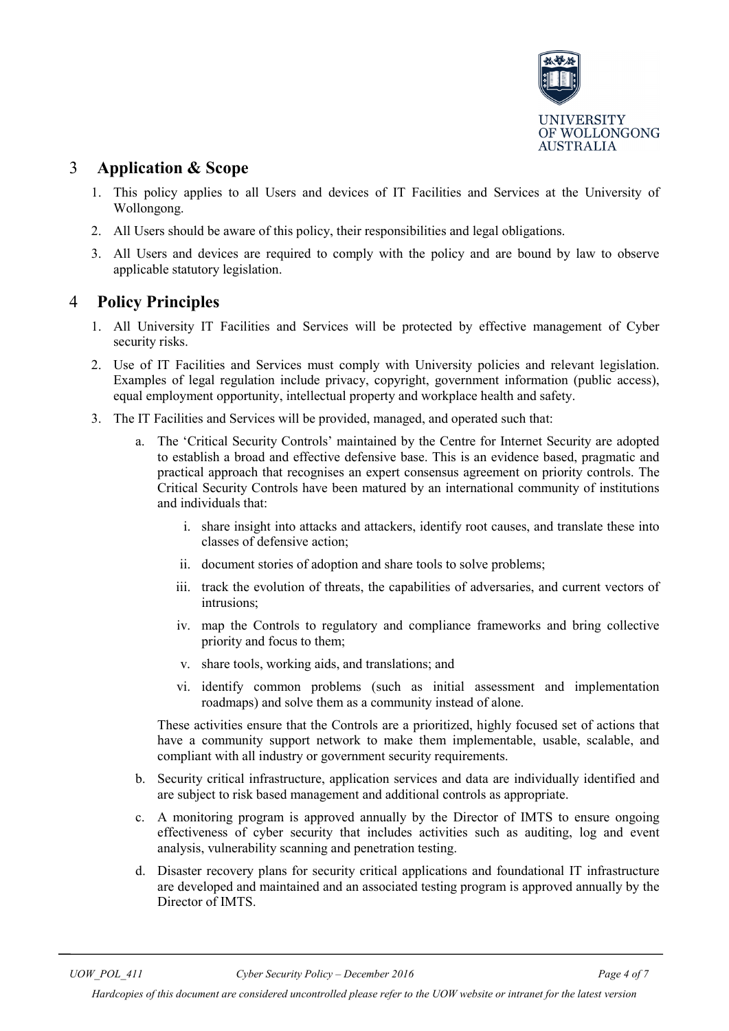

## <span id="page-3-0"></span>3 **Application & Scope**

- 1. This policy applies to all Users and devices of IT Facilities and Services at the University of Wollongong.
- 2. All Users should be aware of this policy, their responsibilities and legal obligations.
- 3. All Users and devices are required to comply with the policy and are bound by law to observe applicable statutory legislation.

## <span id="page-3-1"></span>4 **Policy Principles**

- 1. All University IT Facilities and Services will be protected by effective management of Cyber security risks.
- 2. Use of IT Facilities and Services must comply with University policies and relevant legislation. Examples of legal regulation include privacy, copyright, government information (public access), equal employment opportunity, intellectual property and workplace health and safety.
- 3. The IT Facilities and Services will be provided, managed, and operated such that:
	- a. The 'Critical Security Controls' maintained by the Centre for Internet Security are adopted to establish a broad and effective defensive base. This is an evidence based, pragmatic and practical approach that recognises an expert consensus agreement on priority controls. The Critical Security Controls have been matured by an international community of institutions and individuals that:
		- i. share insight into attacks and attackers, identify root causes, and translate these into classes of defensive action;
		- ii. document stories of adoption and share tools to solve problems;
		- iii. track the evolution of threats, the capabilities of adversaries, and current vectors of intrusions;
		- iv. map the Controls to regulatory and compliance frameworks and bring collective priority and focus to them;
		- v. share tools, working aids, and translations; and
		- vi. identify common problems (such as initial assessment and implementation roadmaps) and solve them as a community instead of alone.

These activities ensure that the Controls are a prioritized, highly focused set of actions that have a community support network to make them implementable, usable, scalable, and compliant with all industry or government security requirements.

- b. Security critical infrastructure, application services and data are individually identified and are subject to risk based management and additional controls as appropriate.
- c. A monitoring program is approved annually by the Director of IMTS to ensure ongoing effectiveness of cyber security that includes activities such as auditing, log and event analysis, vulnerability scanning and penetration testing.
- d. Disaster recovery plans for security critical applications and foundational IT infrastructure are developed and maintained and an associated testing program is approved annually by the Director of IMTS.

*Hardcopies of this document are considered uncontrolled please refer to the UOW website or intranet for the latest version*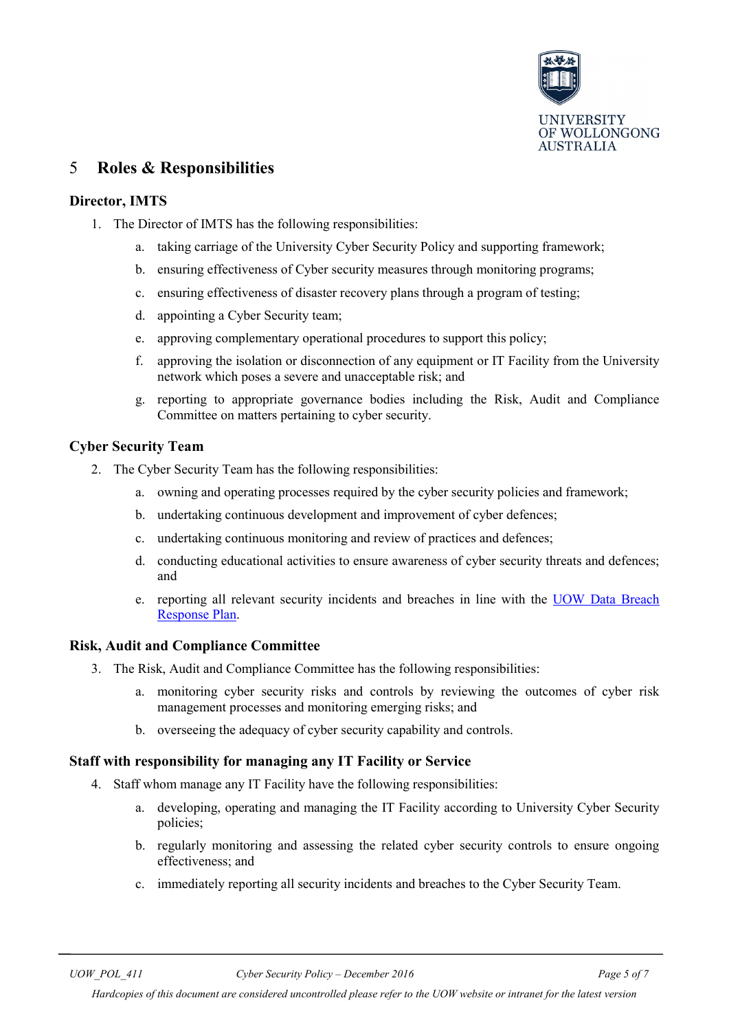

## <span id="page-4-0"></span>5 **Roles & Responsibilities**

#### **Director, IMTS**

- 1. The Director of IMTS has the following responsibilities:
	- a. taking carriage of the University Cyber Security Policy and supporting framework;
	- b. ensuring effectiveness of Cyber security measures through monitoring programs;
	- c. ensuring effectiveness of disaster recovery plans through a program of testing;
	- d. appointing a Cyber Security team;
	- e. approving complementary operational procedures to support this policy;
	- f. approving the isolation or disconnection of any equipment or IT Facility from the University network which poses a severe and unacceptable risk; and
	- g. reporting to appropriate governance bodies including the Risk, Audit and Compliance Committee on matters pertaining to cyber security.

#### **Cyber Security Team**

- 2. The Cyber Security Team has the following responsibilities:
	- a. owning and operating processes required by the cyber security policies and framework;
	- b. undertaking continuous development and improvement of cyber defences;
	- c. undertaking continuous monitoring and review of practices and defences;
	- d. conducting educational activities to ensure awareness of cyber security threats and defences; and
	- e. reporting all relevant security incidents and breaches in line with the [UOW Data Breach](https://intranet.uow.edu.au/content/groups/internal/@web/@gld/documents/doc/uow247641.pdf)  [Response Plan.](https://intranet.uow.edu.au/content/groups/internal/@web/@gld/documents/doc/uow247641.pdf)

#### **Risk, Audit and Compliance Committee**

- 3. The Risk, Audit and Compliance Committee has the following responsibilities:
	- a. monitoring cyber security risks and controls by reviewing the outcomes of cyber risk management processes and monitoring emerging risks; and
	- b. overseeing the adequacy of cyber security capability and controls.

#### **Staff with responsibility for managing any IT Facility or Service**

- 4. Staff whom manage any IT Facility have the following responsibilities:
	- a. developing, operating and managing the IT Facility according to University Cyber Security policies;
	- b. regularly monitoring and assessing the related cyber security controls to ensure ongoing effectiveness; and
	- c. immediately reporting all security incidents and breaches to the Cyber Security Team.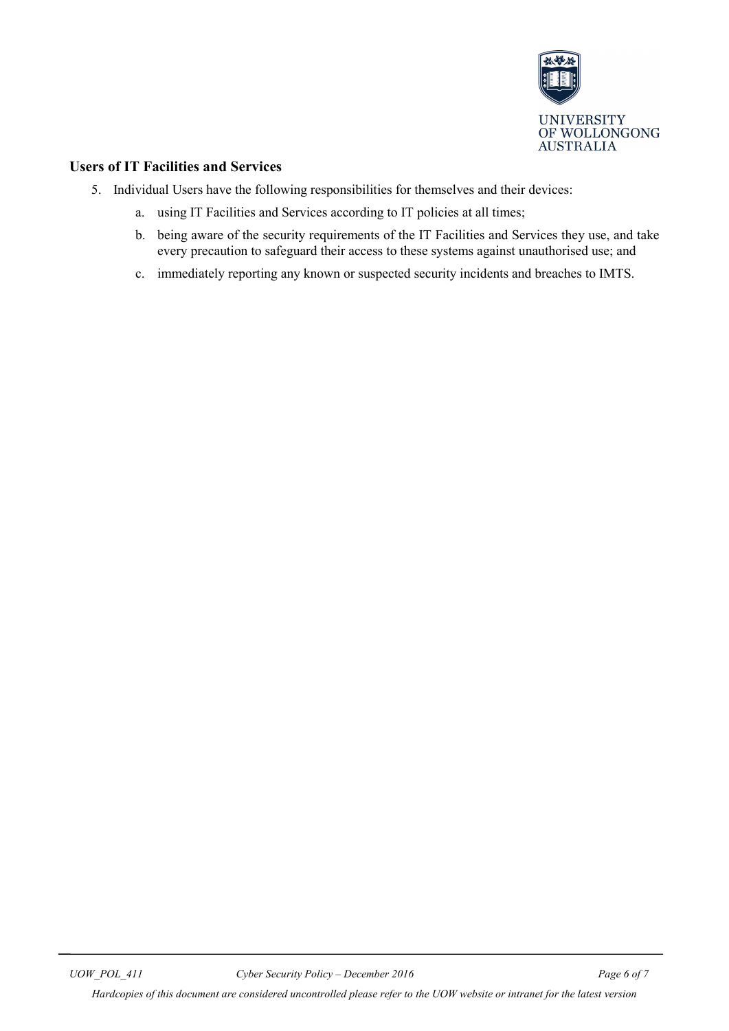

#### **Users of IT Facilities and Services**

- 5. Individual Users have the following responsibilities for themselves and their devices:
	- a. using IT Facilities and Services according to IT policies at all times;
	- b. being aware of the security requirements of the IT Facilities and Services they use, and take every precaution to safeguard their access to these systems against unauthorised use; and
	- c. immediately reporting any known or suspected security incidents and breaches to IMTS.